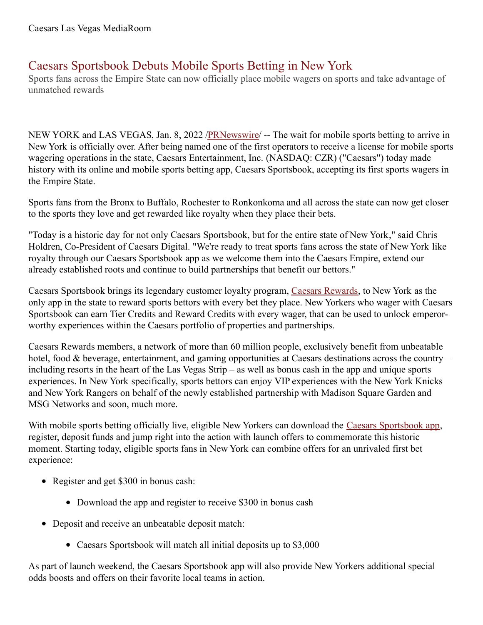## Caesars Sportsbook Debuts Mobile Sports Betting in New York

Sports fans across the Empire State can now officially place mobile wagers on sports and take advantage of unmatched rewards

NEW YORK and LAS VEGAS, Jan. 8, 2022 /**PRNewswire/** -- The wait for mobile sports betting to arrive in New York is officially over. After being named one of the first operators to receive a license for mobile sports wagering operations in the state, Caesars Entertainment, Inc. (NASDAQ: CZR) ("Caesars") today made history with its online and mobile sports betting app, Caesars Sportsbook, accepting its first sports wagers in the Empire State.

Sports fans from the Bronx to Buffalo, Rochester to Ronkonkoma and all across the state can now get closer to the sports they love and get rewarded like royalty when they place their bets.

"Today is a historic day for not only Caesars Sportsbook, but for the entire state of New York," said Chris Holdren, Co-President of Caesars Digital. "We're ready to treat sports fans across the state of New York like royalty through our Caesars Sportsbook app as we welcome them into the Caesars Empire, extend our already established roots and continue to build partnerships that benefit our bettors."

Caesars Sportsbook brings its legendary customer loyalty program, Caesars [Rewards](https://c212.net/c/link/?t=0&l=en&o=3407167-1&h=2707626176&u=https%3A%2F%2Fwww.caesars.com%2Fmyrewards&a=Caesars+Rewards), to New York as the only app in the state to reward sports bettors with every bet they place. New Yorkers who wager with Caesars Sportsbook can earn Tier Credits and Reward Credits with every wager, that can be used to unlock emperorworthy experiences within the Caesars portfolio of properties and partnerships.

Caesars Rewards members, a network of more than 60 million people, exclusively benefit from unbeatable hotel, food & beverage, entertainment, and gaming opportunities at Caesars destinations across the country – including resorts in the heart of the Las Vegas Strip – as well as bonus cash in the app and unique sports experiences. In New York specifically, sports bettors can enjoy VIP experiences with the New York Knicks and New York Rangers on behalf of the newly established partnership with Madison Square Garden and MSG Networks and soon, much more.

With mobile sports betting officially live, eligible New Yorkers can download the Caesars [Sportsbook](https://c212.net/c/link/?t=0&l=en&o=3407167-1&h=3438472619&u=https%3A%2F%2Fwww.caesars.com%2Fsportsbook&a=Caesars+Sportsbook+app) app, register, deposit funds and jump right into the action with launch offers to commemorate this historic moment. Starting today, eligible sports fans in New York can combine offers for an unrivaled first bet experience:

- Register and get \$300 in bonus cash:
	- Download the app and register to receive \$300 in bonus cash
- Deposit and receive an unbeatable deposit match:
	- Caesars Sportsbook will match all initial deposits up to \$3,000

As part of launch weekend, the Caesars Sportsbook app will also provide New Yorkers additional special odds boosts and offers on their favorite local teams in action.